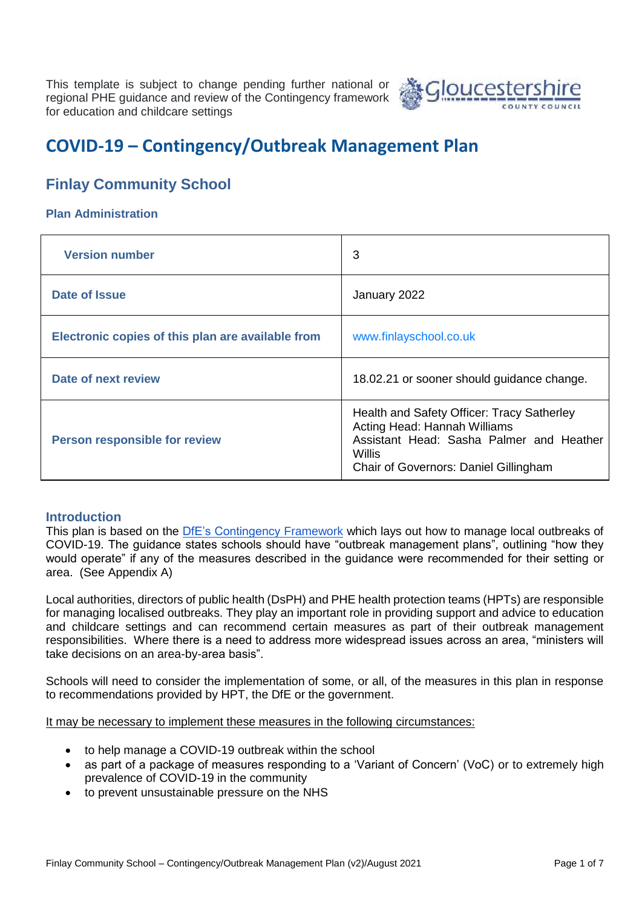This template is subject to change pending further national or regional PHE guidance and review of the Contingency framework for education and childcare settings



# **COVID-19 – Contingency/Outbreak Management Plan**

# **Finlay Community School**

#### **Plan Administration**

| <b>Version number</b>                             | 3                                                                                                                                                                                |
|---------------------------------------------------|----------------------------------------------------------------------------------------------------------------------------------------------------------------------------------|
| Date of Issue                                     | January 2022                                                                                                                                                                     |
| Electronic copies of this plan are available from | www.finlayschool.co.uk                                                                                                                                                           |
| Date of next review                               | 18.02.21 or sooner should guidance change.                                                                                                                                       |
| Person responsible for review                     | Health and Safety Officer: Tracy Satherley<br>Acting Head: Hannah Williams<br>Assistant Head: Sasha Palmer and Heather<br><b>Willis</b><br>Chair of Governors: Daniel Gillingham |

#### **Introduction**

This plan is based on the [DfE's Contingency Framework](https://www.gov.uk/government/publications/coronavirus-covid-19-local-restrictions-in-education-and-childcare-settings/contingency-framework-education-and-childcare-settings) which lays out how to manage local outbreaks of COVID-19. The guidance states schools should have "outbreak management plans", outlining "how they would operate" if any of the measures described in the guidance were recommended for their setting or area. (See Appendix A)

Local authorities, directors of public health (DsPH) and PHE health protection teams (HPTs) are responsible for managing localised outbreaks. They play an important role in providing support and advice to education and childcare settings and can recommend certain measures as part of their outbreak management responsibilities. Where there is a need to address more widespread issues across an area, "ministers will take decisions on an area-by-area basis".

Schools will need to consider the implementation of some, or all, of the measures in this plan in response to recommendations provided by HPT, the DfE or the government.

It may be necessary to implement these measures in the following circumstances:

- to help manage a COVID-19 outbreak within the school
- as part of a package of measures responding to a 'Variant of Concern' (VoC) or to extremely high prevalence of COVID-19 in the community
- to prevent unsustainable pressure on the NHS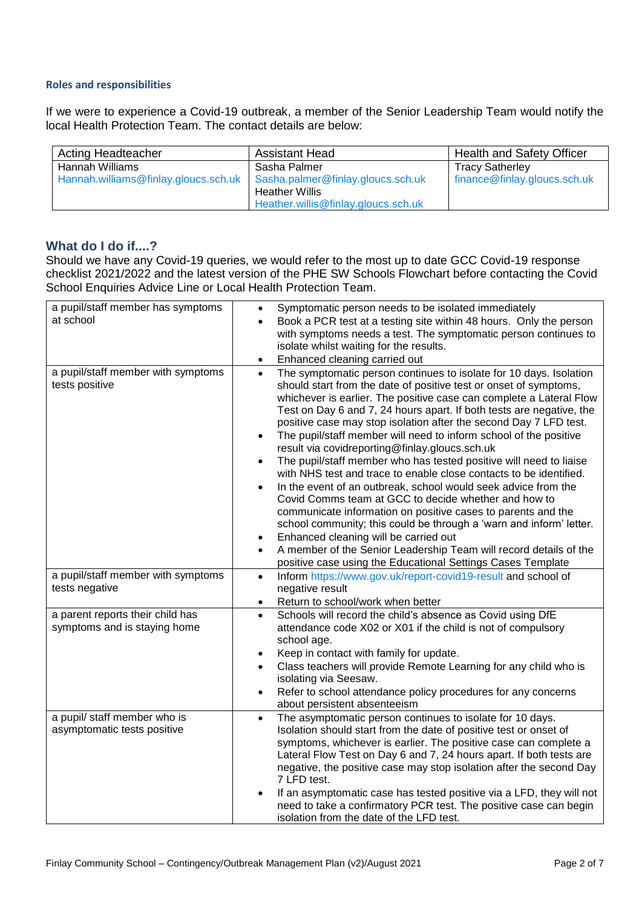#### **Roles and responsibilities**

If we were to experience a Covid-19 outbreak, a member of the Senior Leadership Team would notify the local Health Protection Team. The contact details are below:

| Acting Headteacher                   | <b>Assistant Head</b>               | <b>Health and Safety Officer</b> |
|--------------------------------------|-------------------------------------|----------------------------------|
| Hannah Williams                      | Sasha Palmer                        | <b>Tracy Satherley</b>           |
| Hannah.williams@finlay.gloucs.sch.uk | Sasha.palmer@finlay.gloucs.sch.uk   | finance@finlay.gloucs.sch.uk     |
|                                      | <b>Heather Willis</b>               |                                  |
|                                      | Heather.willis@finlay.gloucs.sch.uk |                                  |

#### **What do I do if....?**

Should we have any Covid-19 queries, we would refer to the most up to date GCC Covid-19 response checklist 2021/2022 and the latest version of the PHE SW Schools Flowchart before contacting the Covid School Enquiries Advice Line or Local Health Protection Team.

| a pupil/staff member has symptoms<br>at school                   | Symptomatic person needs to be isolated immediately<br>$\bullet$<br>Book a PCR test at a testing site within 48 hours. Only the person<br>with symptoms needs a test. The symptomatic person continues to<br>isolate whilst waiting for the results.<br>Enhanced cleaning carried out<br>$\bullet$                                                                                                                                                                                                                                                                                                                                                                                                                                                                                                                                                                                                                                                                                                                                                                                                                                    |
|------------------------------------------------------------------|---------------------------------------------------------------------------------------------------------------------------------------------------------------------------------------------------------------------------------------------------------------------------------------------------------------------------------------------------------------------------------------------------------------------------------------------------------------------------------------------------------------------------------------------------------------------------------------------------------------------------------------------------------------------------------------------------------------------------------------------------------------------------------------------------------------------------------------------------------------------------------------------------------------------------------------------------------------------------------------------------------------------------------------------------------------------------------------------------------------------------------------|
| a pupil/staff member with symptoms<br>tests positive             | The symptomatic person continues to isolate for 10 days. Isolation<br>$\bullet$<br>should start from the date of positive test or onset of symptoms,<br>whichever is earlier. The positive case can complete a Lateral Flow<br>Test on Day 6 and 7, 24 hours apart. If both tests are negative, the<br>positive case may stop isolation after the second Day 7 LFD test.<br>The pupil/staff member will need to inform school of the positive<br>$\bullet$<br>result via covidreporting@finlay.gloucs.sch.uk<br>The pupil/staff member who has tested positive will need to liaise<br>$\bullet$<br>with NHS test and trace to enable close contacts to be identified.<br>In the event of an outbreak, school would seek advice from the<br>Covid Comms team at GCC to decide whether and how to<br>communicate information on positive cases to parents and the<br>school community; this could be through a 'warn and inform' letter.<br>Enhanced cleaning will be carried out<br>٠<br>A member of the Senior Leadership Team will record details of the<br>$\bullet$<br>positive case using the Educational Settings Cases Template |
| a pupil/staff member with symptoms<br>tests negative             | Inform https://www.gov.uk/report-covid19-result and school of<br>$\bullet$<br>negative result<br>Return to school/work when better<br>$\bullet$                                                                                                                                                                                                                                                                                                                                                                                                                                                                                                                                                                                                                                                                                                                                                                                                                                                                                                                                                                                       |
| a parent reports their child has<br>symptoms and is staying home | Schools will record the child's absence as Covid using DfE<br>$\bullet$<br>attendance code X02 or X01 if the child is not of compulsory<br>school age.<br>Keep in contact with family for update.<br>Class teachers will provide Remote Learning for any child who is<br>$\bullet$<br>isolating via Seesaw.<br>Refer to school attendance policy procedures for any concerns<br>about persistent absenteeism                                                                                                                                                                                                                                                                                                                                                                                                                                                                                                                                                                                                                                                                                                                          |
| a pupil/ staff member who is<br>asymptomatic tests positive      | The asymptomatic person continues to isolate for 10 days.<br>$\bullet$<br>Isolation should start from the date of positive test or onset of<br>symptoms, whichever is earlier. The positive case can complete a<br>Lateral Flow Test on Day 6 and 7, 24 hours apart. If both tests are<br>negative, the positive case may stop isolation after the second Day<br>7 LFD test.<br>If an asymptomatic case has tested positive via a LFD, they will not<br>need to take a confirmatory PCR test. The positive case can begin<br>isolation from the date of the LFD test.                                                                                                                                                                                                                                                                                                                                                                                                                                                                                                                                                                 |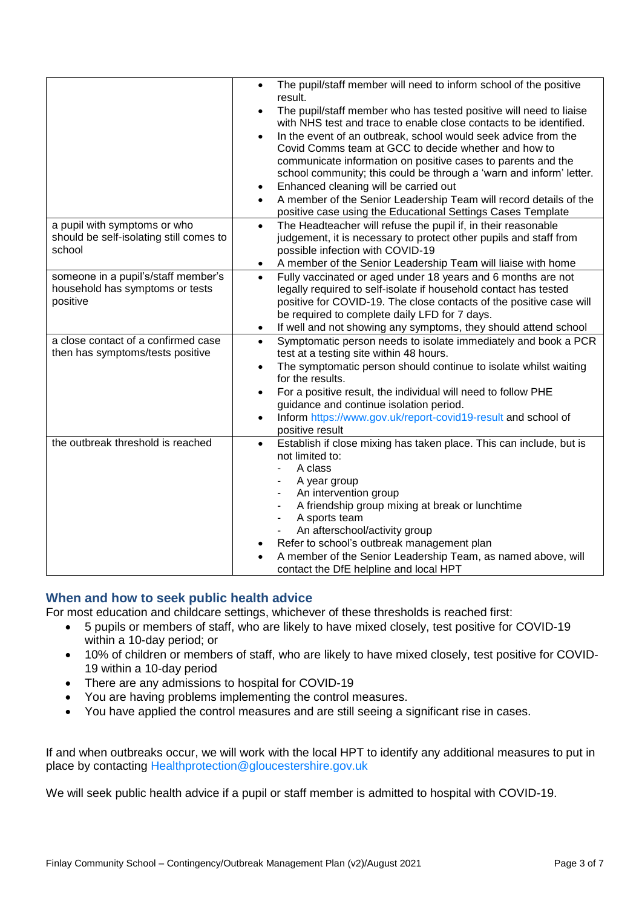|                                         | The pupil/staff member will need to inform school of the positive<br>$\bullet$<br>result.                                                |
|-----------------------------------------|------------------------------------------------------------------------------------------------------------------------------------------|
|                                         | The pupil/staff member who has tested positive will need to liaise<br>with NHS test and trace to enable close contacts to be identified. |
|                                         | In the event of an outbreak, school would seek advice from the                                                                           |
|                                         | Covid Comms team at GCC to decide whether and how to                                                                                     |
|                                         | communicate information on positive cases to parents and the                                                                             |
|                                         | school community; this could be through a 'warn and inform' letter.                                                                      |
|                                         | Enhanced cleaning will be carried out<br>$\bullet$                                                                                       |
|                                         | A member of the Senior Leadership Team will record details of the<br>$\bullet$                                                           |
|                                         | positive case using the Educational Settings Cases Template                                                                              |
| a pupil with symptoms or who            | The Headteacher will refuse the pupil if, in their reasonable<br>$\bullet$                                                               |
| should be self-isolating still comes to | judgement, it is necessary to protect other pupils and staff from                                                                        |
| school                                  | possible infection with COVID-19                                                                                                         |
|                                         | A member of the Senior Leadership Team will liaise with home<br>$\bullet$                                                                |
| someone in a pupil's/staff member's     | Fully vaccinated or aged under 18 years and 6 months are not<br>$\bullet$                                                                |
| household has symptoms or tests         | legally required to self-isolate if household contact has tested                                                                         |
| positive                                | positive for COVID-19. The close contacts of the positive case will                                                                      |
|                                         | be required to complete daily LFD for 7 days.                                                                                            |
|                                         | If well and not showing any symptoms, they should attend school<br>$\bullet$                                                             |
| a close contact of a confirmed case     | Symptomatic person needs to isolate immediately and book a PCR<br>$\bullet$                                                              |
| then has symptoms/tests positive        | test at a testing site within 48 hours.                                                                                                  |
|                                         | The symptomatic person should continue to isolate whilst waiting<br>$\bullet$                                                            |
|                                         | for the results.                                                                                                                         |
|                                         | For a positive result, the individual will need to follow PHE<br>$\bullet$                                                               |
|                                         | guidance and continue isolation period.                                                                                                  |
|                                         | Inform https://www.gov.uk/report-covid19-result and school of<br>$\bullet$                                                               |
|                                         | positive result                                                                                                                          |
| the outbreak threshold is reached       | Establish if close mixing has taken place. This can include, but is<br>$\bullet$                                                         |
|                                         | not limited to:                                                                                                                          |
|                                         | A class                                                                                                                                  |
|                                         | A year group                                                                                                                             |
|                                         | An intervention group<br>٠                                                                                                               |
|                                         | A friendship group mixing at break or lunchtime<br>-                                                                                     |
|                                         | A sports team<br>-                                                                                                                       |
|                                         | An afterschool/activity group                                                                                                            |
|                                         | Refer to school's outbreak management plan                                                                                               |
|                                         | A member of the Senior Leadership Team, as named above, will                                                                             |
|                                         | contact the DfE helpline and local HPT                                                                                                   |

## **When and how to seek public health advice**

For most education and childcare settings, whichever of these thresholds is reached first:

- 5 pupils or members of staff, who are likely to have mixed closely, test positive for COVID-19 within a 10-day period; or
- 10% of children or members of staff, who are likely to have mixed closely, test positive for COVID-19 within a 10-day period
- There are any admissions to hospital for COVID-19
- You are having problems implementing the control measures.
- You have applied the control measures and are still seeing a significant rise in cases.

If and when outbreaks occur, we will work with the local HPT to identify any additional measures to put in place by contacting [Healthprotection@gloucestershire.gov.uk](mailto:Healthprotection@gloucestershire.gov.uk)

We will seek public health advice if a pupil or staff member is admitted to hospital with COVID-19.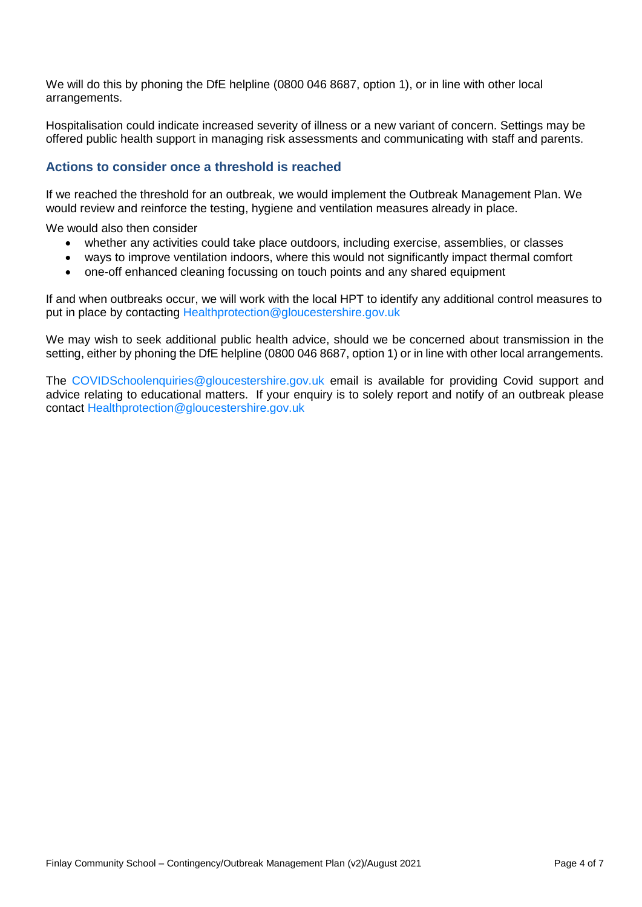We will do this by phoning the DfE helpline (0800 046 8687, option 1), or in line with other local arrangements.

Hospitalisation could indicate increased severity of illness or a new variant of concern. Settings may be offered public health support in managing risk assessments and communicating with staff and parents.

#### **Actions to consider once a threshold is reached**

If we reached the threshold for an outbreak, we would implement the Outbreak Management Plan. We would review and reinforce the testing, hygiene and ventilation measures already in place.

We would also then consider

- whether any activities could take place outdoors, including exercise, assemblies, or classes
- ways to improve ventilation indoors, where this would not significantly impact thermal comfort
- one-off enhanced cleaning focussing on touch points and any shared equipment

If and when outbreaks occur, we will work with the local HPT to identify any additional control measures to put in place by contacting [Healthprotection@gloucestershire.gov.uk](mailto:Healthprotection@gloucestershire.gov.uk)

We may wish to seek additional public health advice, should we be concerned about transmission in the setting, either by phoning the DfE helpline (0800 046 8687, option 1) or in line with other local arrangements.

The [COVIDSchoolenquiries@gloucestershire.gov.uk](mailto:COVIDSchoolenquiries@gloucestershire.gov.uk) email is available for providing Covid support and advice relating to educational matters. If your enquiry is to solely report and notify of an outbreak please contact [Healthprotection@gloucestershire.gov.uk](mailto:Healthprotection@gloucestershire.gov.uk)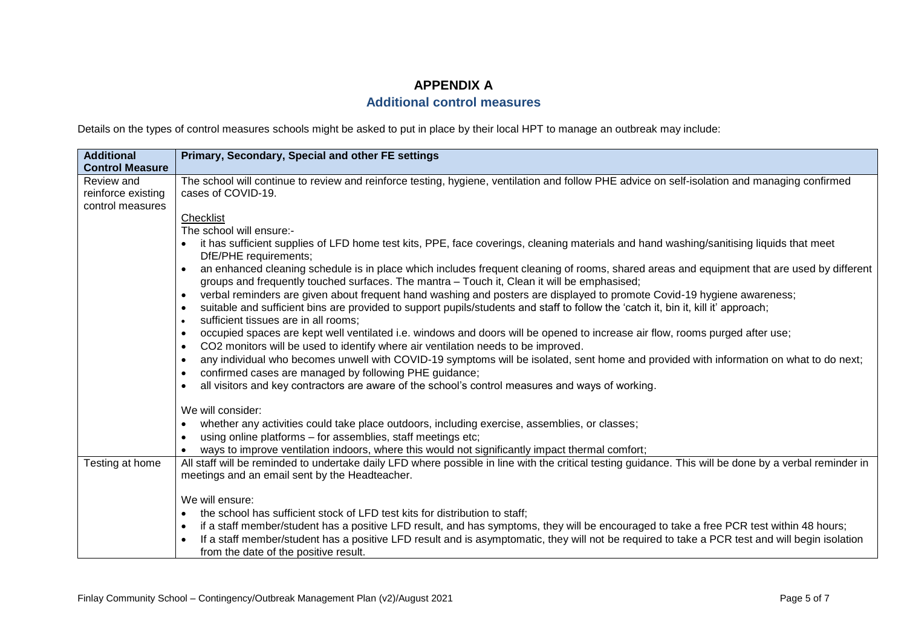# **APPENDIX A**

## **Additional control measures**

Details on the types of control measures schools might be asked to put in place by their local HPT to manage an outbreak may include:

| <b>Additional</b>      | Primary, Secondary, Special and other FE settings                                                                                                                                                                                         |
|------------------------|-------------------------------------------------------------------------------------------------------------------------------------------------------------------------------------------------------------------------------------------|
| <b>Control Measure</b> |                                                                                                                                                                                                                                           |
| Review and             | The school will continue to review and reinforce testing, hygiene, ventilation and follow PHE advice on self-isolation and managing confirmed                                                                                             |
| reinforce existing     | cases of COVID-19.                                                                                                                                                                                                                        |
| control measures       |                                                                                                                                                                                                                                           |
|                        | Checklist                                                                                                                                                                                                                                 |
|                        | The school will ensure:-                                                                                                                                                                                                                  |
|                        | it has sufficient supplies of LFD home test kits, PPE, face coverings, cleaning materials and hand washing/sanitising liquids that meet<br>DfE/PHE requirements;                                                                          |
|                        | an enhanced cleaning schedule is in place which includes frequent cleaning of rooms, shared areas and equipment that are used by different<br>groups and frequently touched surfaces. The mantra - Touch it, Clean it will be emphasised; |
|                        | verbal reminders are given about frequent hand washing and posters are displayed to promote Covid-19 hygiene awareness;<br>$\bullet$                                                                                                      |
|                        | suitable and sufficient bins are provided to support pupils/students and staff to follow the 'catch it, bin it, kill it' approach;<br>$\bullet$                                                                                           |
|                        | sufficient tissues are in all rooms;                                                                                                                                                                                                      |
|                        | occupied spaces are kept well ventilated i.e. windows and doors will be opened to increase air flow, rooms purged after use;<br>$\bullet$                                                                                                 |
|                        | CO2 monitors will be used to identify where air ventilation needs to be improved.<br>$\bullet$                                                                                                                                            |
|                        | any individual who becomes unwell with COVID-19 symptoms will be isolated, sent home and provided with information on what to do next;<br>$\bullet$                                                                                       |
|                        | confirmed cases are managed by following PHE guidance;                                                                                                                                                                                    |
|                        | all visitors and key contractors are aware of the school's control measures and ways of working.<br>$\bullet$                                                                                                                             |
|                        | We will consider:                                                                                                                                                                                                                         |
|                        | whether any activities could take place outdoors, including exercise, assemblies, or classes;<br>$\bullet$                                                                                                                                |
|                        | using online platforms - for assemblies, staff meetings etc;<br>$\bullet$                                                                                                                                                                 |
|                        | ways to improve ventilation indoors, where this would not significantly impact thermal comfort;                                                                                                                                           |
| Testing at home        | All staff will be reminded to undertake daily LFD where possible in line with the critical testing guidance. This will be done by a verbal reminder in                                                                                    |
|                        | meetings and an email sent by the Headteacher.                                                                                                                                                                                            |
|                        | We will ensure:                                                                                                                                                                                                                           |
|                        | the school has sufficient stock of LFD test kits for distribution to staff;<br>٠                                                                                                                                                          |
|                        | if a staff member/student has a positive LFD result, and has symptoms, they will be encouraged to take a free PCR test within 48 hours;<br>$\bullet$                                                                                      |
|                        | If a staff member/student has a positive LFD result and is asymptomatic, they will not be required to take a PCR test and will begin isolation                                                                                            |
|                        | from the date of the positive result.                                                                                                                                                                                                     |
|                        |                                                                                                                                                                                                                                           |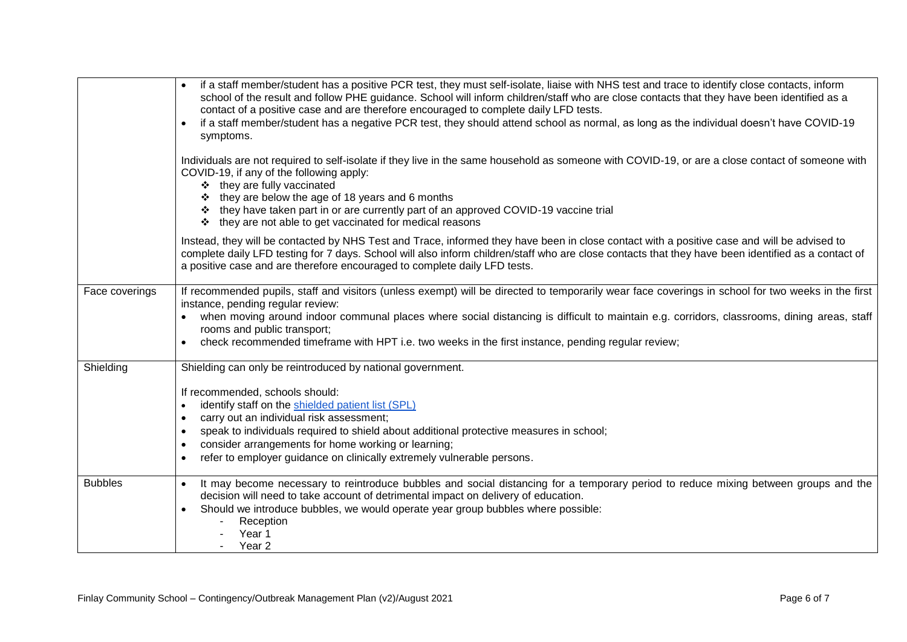|                | if a staff member/student has a positive PCR test, they must self-isolate, liaise with NHS test and trace to identify close contacts, inform<br>school of the result and follow PHE guidance. School will inform children/staff who are close contacts that they have been identified as a<br>contact of a positive case and are therefore encouraged to complete daily LFD tests.<br>if a staff member/student has a negative PCR test, they should attend school as normal, as long as the individual doesn't have COVID-19<br>$\bullet$<br>symptoms. |
|----------------|---------------------------------------------------------------------------------------------------------------------------------------------------------------------------------------------------------------------------------------------------------------------------------------------------------------------------------------------------------------------------------------------------------------------------------------------------------------------------------------------------------------------------------------------------------|
|                | Individuals are not required to self-isolate if they live in the same household as someone with COVID-19, or are a close contact of someone with<br>COVID-19, if any of the following apply:<br>❖ they are fully vaccinated<br>they are below the age of 18 years and 6 months<br>In they have taken part in or are currently part of an approved COVID-19 vaccine trial<br>❖ they are not able to get vaccinated for medical reasons                                                                                                                   |
|                | Instead, they will be contacted by NHS Test and Trace, informed they have been in close contact with a positive case and will be advised to<br>complete daily LFD testing for 7 days. School will also inform children/staff who are close contacts that they have been identified as a contact of<br>a positive case and are therefore encouraged to complete daily LFD tests.                                                                                                                                                                         |
| Face coverings | If recommended pupils, staff and visitors (unless exempt) will be directed to temporarily wear face coverings in school for two weeks in the first<br>instance, pending regular review:<br>• when moving around indoor communal places where social distancing is difficult to maintain e.g. corridors, classrooms, dining areas, staff<br>rooms and public transport;<br>check recommended timeframe with HPT i.e. two weeks in the first instance, pending regular review;                                                                            |
| Shielding      | Shielding can only be reintroduced by national government.<br>If recommended, schools should:<br>identify staff on the shielded patient list (SPL)<br>carry out an individual risk assessment;<br>$\bullet$<br>speak to individuals required to shield about additional protective measures in school;<br>$\bullet$<br>consider arrangements for home working or learning;<br>$\bullet$<br>refer to employer guidance on clinically extremely vulnerable persons.<br>$\bullet$                                                                          |
| <b>Bubbles</b> | It may become necessary to reintroduce bubbles and social distancing for a temporary period to reduce mixing between groups and the<br>decision will need to take account of detrimental impact on delivery of education.<br>Should we introduce bubbles, we would operate year group bubbles where possible:<br>Reception<br>Year 1<br>Year 2                                                                                                                                                                                                          |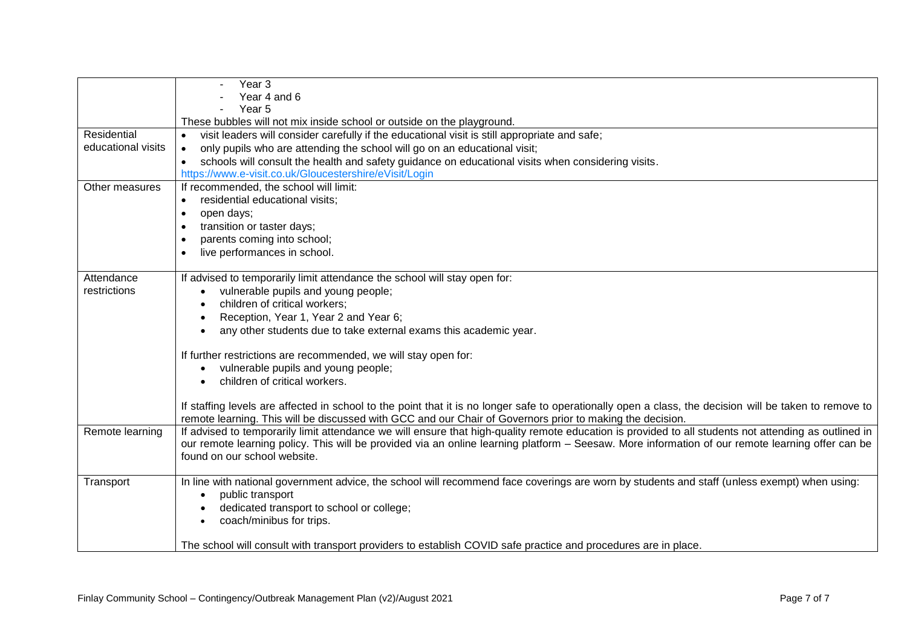|                    | Year 3                                                                                                                                                  |
|--------------------|---------------------------------------------------------------------------------------------------------------------------------------------------------|
|                    | Year 4 and 6                                                                                                                                            |
|                    | Year <sub>5</sub>                                                                                                                                       |
|                    | These bubbles will not mix inside school or outside on the playground.                                                                                  |
| Residential        | visit leaders will consider carefully if the educational visit is still appropriate and safe;                                                           |
| educational visits | only pupils who are attending the school will go on an educational visit;<br>$\bullet$                                                                  |
|                    | schools will consult the health and safety guidance on educational visits when considering visits.<br>$\bullet$                                         |
|                    | https://www.e-visit.co.uk/Gloucestershire/eVisit/Login                                                                                                  |
| Other measures     | If recommended, the school will limit:                                                                                                                  |
|                    | residential educational visits;<br>$\bullet$                                                                                                            |
|                    | open days;<br>$\bullet$                                                                                                                                 |
|                    | transition or taster days;<br>$\bullet$                                                                                                                 |
|                    | parents coming into school;<br>$\bullet$                                                                                                                |
|                    | live performances in school.<br>$\bullet$                                                                                                               |
| Attendance         | If advised to temporarily limit attendance the school will stay open for:                                                                               |
| restrictions       | vulnerable pupils and young people;                                                                                                                     |
|                    | children of critical workers;                                                                                                                           |
|                    | Reception, Year 1, Year 2 and Year 6;                                                                                                                   |
|                    | any other students due to take external exams this academic year.                                                                                       |
|                    |                                                                                                                                                         |
|                    | If further restrictions are recommended, we will stay open for:                                                                                         |
|                    | vulnerable pupils and young people;<br>$\bullet$                                                                                                        |
|                    | children of critical workers.                                                                                                                           |
|                    | If staffing levels are affected in school to the point that it is no longer safe to operationally open a class, the decision will be taken to remove to |
|                    | remote learning. This will be discussed with GCC and our Chair of Governors prior to making the decision.                                               |
| Remote learning    | If advised to temporarily limit attendance we will ensure that high-quality remote education is provided to all students not attending as outlined in   |
|                    | our remote learning policy. This will be provided via an online learning platform - Seesaw. More information of our remote learning offer can be        |
|                    | found on our school website.                                                                                                                            |
| Transport          | In line with national government advice, the school will recommend face coverings are worn by students and staff (unless exempt) when using:            |
|                    | public transport                                                                                                                                        |
|                    | dedicated transport to school or college;                                                                                                               |
|                    | coach/minibus for trips.                                                                                                                                |
|                    | The school will consult with transport providers to establish COVID safe practice and procedures are in place.                                          |
|                    |                                                                                                                                                         |